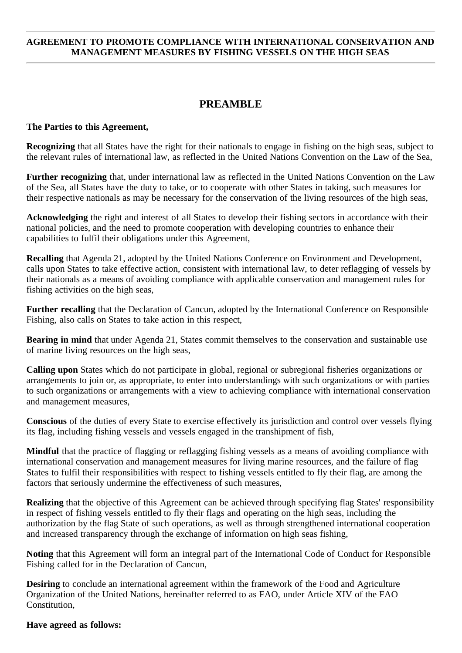### **AGREEMENT TO PROMOTE COMPLIANCE WITH INTERNATIONAL CONSERVATION AND MANAGEMENT MEASURES BY FISHING VESSELS ON THE HIGH SEAS**

### **PREAMBLE**

#### **The Parties to this Agreement,**

**Recognizing** that all States have the right for their nationals to engage in fishing on the high seas, subject to the relevant rules of international law, as reflected in the United Nations Convention on the Law of the Sea,

**Further recognizing** that, under international law as reflected in the United Nations Convention on the Law of the Sea, all States have the duty to take, or to cooperate with other States in taking, such measures for their respective nationals as may be necessary for the conservation of the living resources of the high seas,

**Acknowledging** the right and interest of all States to develop their fishing sectors in accordance with their national policies, and the need to promote cooperation with developing countries to enhance their capabilities to fulfil their obligations under this Agreement,

**Recalling** that Agenda 21, adopted by the United Nations Conference on Environment and Development, calls upon States to take effective action, consistent with international law, to deter reflagging of vessels by their nationals as a means of avoiding compliance with applicable conservation and management rules for fishing activities on the high seas,

**Further recalling** that the Declaration of Cancun, adopted by the International Conference on Responsible Fishing, also calls on States to take action in this respect,

**Bearing in mind** that under Agenda 21, States commit themselves to the conservation and sustainable use of marine living resources on the high seas,

**Calling upon** States which do not participate in global, regional or subregional fisheries organizations or arrangements to join or, as appropriate, to enter into understandings with such organizations or with parties to such organizations or arrangements with a view to achieving compliance with international conservation and management measures,

**Conscious** of the duties of every State to exercise effectively its jurisdiction and control over vessels flying its flag, including fishing vessels and vessels engaged in the transhipment of fish,

**Mindful** that the practice of flagging or reflagging fishing vessels as a means of avoiding compliance with international conservation and management measures for living marine resources, and the failure of flag States to fulfil their responsibilities with respect to fishing vessels entitled to fly their flag, are among the factors that seriously undermine the effectiveness of such measures,

**Realizing** that the objective of this Agreement can be achieved through specifying flag States' responsibility in respect of fishing vessels entitled to fly their flags and operating on the high seas, including the authorization by the flag State of such operations, as well as through strengthened international cooperation and increased transparency through the exchange of information on high seas fishing,

**Noting** that this Agreement will form an integral part of the International Code of Conduct for Responsible Fishing called for in the Declaration of Cancun,

**Desiring** to conclude an international agreement within the framework of the Food and Agriculture Organization of the United Nations, hereinafter referred to as FAO, under Article XIV of the FAO Constitution,

#### **Have agreed as follows:**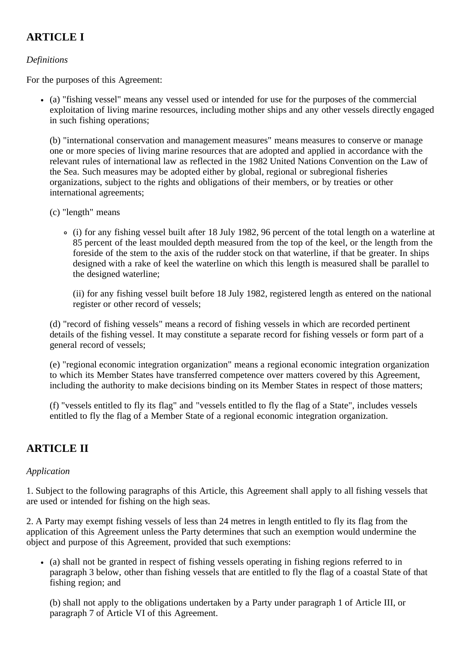# **ARTICLE I**

### *Definitions*

For the purposes of this Agreement:

(a) "fishing vessel" means any vessel used or intended for use for the purposes of the commercial exploitation of living marine resources, including mother ships and any other vessels directly engaged in such fishing operations;

(b) "international conservation and management measures" means measures to conserve or manage one or more species of living marine resources that are adopted and applied in accordance with the relevant rules of international law as reflected in the 1982 United Nations Convention on the Law of the Sea. Such measures may be adopted either by global, regional or subregional fisheries organizations, subject to the rights and obligations of their members, or by treaties or other international agreements;

- (c) "length" means
	- (i) for any fishing vessel built after 18 July 1982, 96 percent of the total length on a waterline at 85 percent of the least moulded depth measured from the top of the keel, or the length from the foreside of the stem to the axis of the rudder stock on that waterline, if that be greater. In ships designed with a rake of keel the waterline on which this length is measured shall be parallel to the designed waterline;

(ii) for any fishing vessel built before 18 July 1982, registered length as entered on the national register or other record of vessels;

(d) "record of fishing vessels" means a record of fishing vessels in which are recorded pertinent details of the fishing vessel. It may constitute a separate record for fishing vessels or form part of a general record of vessels;

(e) "regional economic integration organization" means a regional economic integration organization to which its Member States have transferred competence over matters covered by this Agreement, including the authority to make decisions binding on its Member States in respect of those matters;

(f) "vessels entitled to fly its flag" and "vessels entitled to fly the flag of a State", includes vessels entitled to fly the flag of a Member State of a regional economic integration organization.

# **ARTICLE II**

### *Application*

1. Subject to the following paragraphs of this Article, this Agreement shall apply to all fishing vessels that are used or intended for fishing on the high seas.

2. A Party may exempt fishing vessels of less than 24 metres in length entitled to fly its flag from the application of this Agreement unless the Party determines that such an exemption would undermine the object and purpose of this Agreement, provided that such exemptions:

(a) shall not be granted in respect of fishing vessels operating in fishing regions referred to in paragraph 3 below, other than fishing vessels that are entitled to fly the flag of a coastal State of that fishing region; and

(b) shall not apply to the obligations undertaken by a Party under paragraph 1 of Article III, or paragraph 7 of Article VI of this Agreement.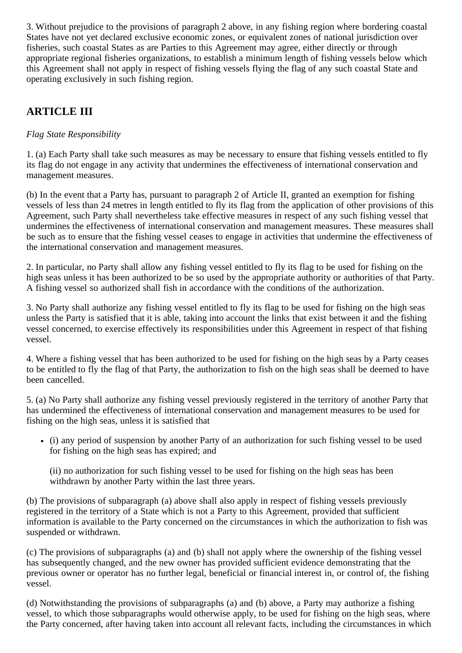3. Without prejudice to the provisions of paragraph 2 above, in any fishing region where bordering coastal States have not yet declared exclusive economic zones, or equivalent zones of national jurisdiction over fisheries, such coastal States as are Parties to this Agreement may agree, either directly or through appropriate regional fisheries organizations, to establish a minimum length of fishing vessels below which this Agreement shall not apply in respect of fishing vessels flying the flag of any such coastal State and operating exclusively in such fishing region.

# **ARTICLE III**

### *Flag State Responsibility*

1. (a) Each Party shall take such measures as may be necessary to ensure that fishing vessels entitled to fly its flag do not engage in any activity that undermines the effectiveness of international conservation and management measures.

(b) In the event that a Party has, pursuant to paragraph 2 of Article II, granted an exemption for fishing vessels of less than 24 metres in length entitled to fly its flag from the application of other provisions of this Agreement, such Party shall nevertheless take effective measures in respect of any such fishing vessel that undermines the effectiveness of international conservation and management measures. These measures shall be such as to ensure that the fishing vessel ceases to engage in activities that undermine the effectiveness of the international conservation and management measures.

2. In particular, no Party shall allow any fishing vessel entitled to fly its flag to be used for fishing on the high seas unless it has been authorized to be so used by the appropriate authority or authorities of that Party. A fishing vessel so authorized shall fish in accordance with the conditions of the authorization.

3. No Party shall authorize any fishing vessel entitled to fly its flag to be used for fishing on the high seas unless the Party is satisfied that it is able, taking into account the links that exist between it and the fishing vessel concerned, to exercise effectively its responsibilities under this Agreement in respect of that fishing vessel.

4. Where a fishing vessel that has been authorized to be used for fishing on the high seas by a Party ceases to be entitled to fly the flag of that Party, the authorization to fish on the high seas shall be deemed to have been cancelled.

5. (a) No Party shall authorize any fishing vessel previously registered in the territory of another Party that has undermined the effectiveness of international conservation and management measures to be used for fishing on the high seas, unless it is satisfied that

(i) any period of suspension by another Party of an authorization for such fishing vessel to be used for fishing on the high seas has expired; and

(ii) no authorization for such fishing vessel to be used for fishing on the high seas has been withdrawn by another Party within the last three years.

(b) The provisions of subparagraph (a) above shall also apply in respect of fishing vessels previously registered in the territory of a State which is not a Party to this Agreement, provided that sufficient information is available to the Party concerned on the circumstances in which the authorization to fish was suspended or withdrawn.

(c) The provisions of subparagraphs (a) and (b) shall not apply where the ownership of the fishing vessel has subsequently changed, and the new owner has provided sufficient evidence demonstrating that the previous owner or operator has no further legal, beneficial or financial interest in, or control of, the fishing vessel.

(d) Notwithstanding the provisions of subparagraphs (a) and (b) above, a Party may authorize a fishing vessel, to which those subparagraphs would otherwise apply, to be used for fishing on the high seas, where the Party concerned, after having taken into account all relevant facts, including the circumstances in which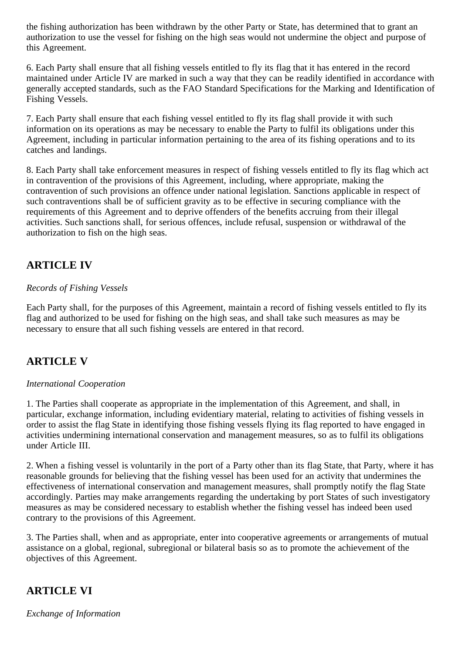the fishing authorization has been withdrawn by the other Party or State, has determined that to grant an authorization to use the vessel for fishing on the high seas would not undermine the object and purpose of this Agreement.

6. Each Party shall ensure that all fishing vessels entitled to fly its flag that it has entered in the record maintained under Article IV are marked in such a way that they can be readily identified in accordance with generally accepted standards, such as the FAO Standard Specifications for the Marking and Identification of Fishing Vessels.

7. Each Party shall ensure that each fishing vessel entitled to fly its flag shall provide it with such information on its operations as may be necessary to enable the Party to fulfil its obligations under this Agreement, including in particular information pertaining to the area of its fishing operations and to its catches and landings.

8. Each Party shall take enforcement measures in respect of fishing vessels entitled to fly its flag which act in contravention of the provisions of this Agreement, including, where appropriate, making the contravention of such provisions an offence under national legislation. Sanctions applicable in respect of such contraventions shall be of sufficient gravity as to be effective in securing compliance with the requirements of this Agreement and to deprive offenders of the benefits accruing from their illegal activities. Such sanctions shall, for serious offences, include refusal, suspension or withdrawal of the authorization to fish on the high seas.

## **ARTICLE IV**

### *Records of Fishing Vessels*

Each Party shall, for the purposes of this Agreement, maintain a record of fishing vessels entitled to fly its flag and authorized to be used for fishing on the high seas, and shall take such measures as may be necessary to ensure that all such fishing vessels are entered in that record.

## **ARTICLE V**

#### *International Cooperation*

1. The Parties shall cooperate as appropriate in the implementation of this Agreement, and shall, in particular, exchange information, including evidentiary material, relating to activities of fishing vessels in order to assist the flag State in identifying those fishing vessels flying its flag reported to have engaged in activities undermining international conservation and management measures, so as to fulfil its obligations under Article III.

2. When a fishing vessel is voluntarily in the port of a Party other than its flag State, that Party, where it has reasonable grounds for believing that the fishing vessel has been used for an activity that undermines the effectiveness of international conservation and management measures, shall promptly notify the flag State accordingly. Parties may make arrangements regarding the undertaking by port States of such investigatory measures as may be considered necessary to establish whether the fishing vessel has indeed been used contrary to the provisions of this Agreement.

3. The Parties shall, when and as appropriate, enter into cooperative agreements or arrangements of mutual assistance on a global, regional, subregional or bilateral basis so as to promote the achievement of the objectives of this Agreement.

## **ARTICLE VI**

*Exchange of Information*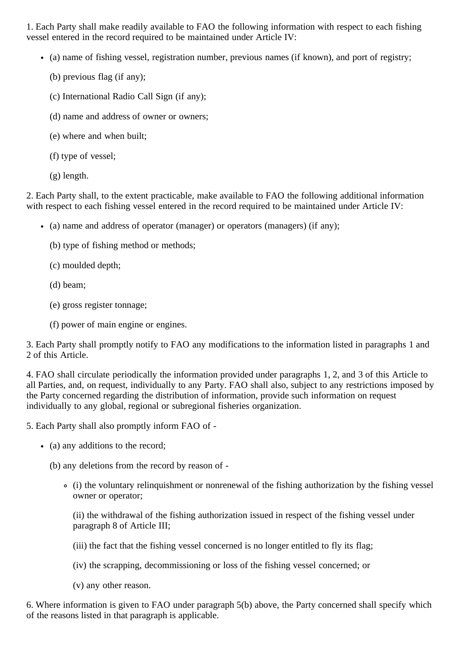1. Each Party shall make readily available to FAO the following information with respect to each fishing vessel entered in the record required to be maintained under Article IV:

- (a) name of fishing vessel, registration number, previous names (if known), and port of registry;
	- (b) previous flag (if any);
	- (c) International Radio Call Sign (if any);
	- (d) name and address of owner or owners;
	- (e) where and when built;
	- (f) type of vessel;
	- (g) length.

2. Each Party shall, to the extent practicable, make available to FAO the following additional information with respect to each fishing vessel entered in the record required to be maintained under Article IV:

- (a) name and address of operator (manager) or operators (managers) (if any);
	- (b) type of fishing method or methods;
	- (c) moulded depth;
	- (d) beam;
	- (e) gross register tonnage;
	- (f) power of main engine or engines.

3. Each Party shall promptly notify to FAO any modifications to the information listed in paragraphs 1 and 2 of this Article.

4. FAO shall circulate periodically the information provided under paragraphs 1, 2, and 3 of this Article to all Parties, and, on request, individually to any Party. FAO shall also, subject to any restrictions imposed by the Party concerned regarding the distribution of information, provide such information on request individually to any global, regional or subregional fisheries organization.

5. Each Party shall also promptly inform FAO of -

• (a) any additions to the record;

(b) any deletions from the record by reason of -

(i) the voluntary relinquishment or nonrenewal of the fishing authorization by the fishing vessel owner or operator;

(ii) the withdrawal of the fishing authorization issued in respect of the fishing vessel under paragraph 8 of Article III;

- (iii) the fact that the fishing vessel concerned is no longer entitled to fly its flag;
- (iv) the scrapping, decommissioning or loss of the fishing vessel concerned; or
- (v) any other reason.

6. Where information is given to FAO under paragraph 5(b) above, the Party concerned shall specify which of the reasons listed in that paragraph is applicable.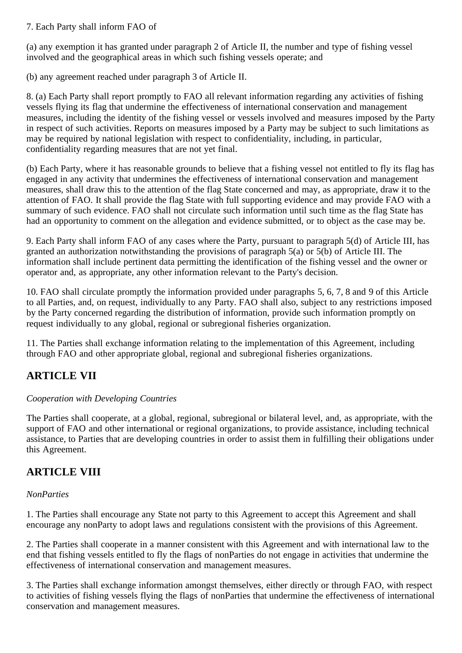### 7. Each Party shall inform FAO of

(a) any exemption it has granted under paragraph 2 of Article II, the number and type of fishing vessel involved and the geographical areas in which such fishing vessels operate; and

(b) any agreement reached under paragraph 3 of Article II.

8. (a) Each Party shall report promptly to FAO all relevant information regarding any activities of fishing vessels flying its flag that undermine the effectiveness of international conservation and management measures, including the identity of the fishing vessel or vessels involved and measures imposed by the Party in respect of such activities. Reports on measures imposed by a Party may be subject to such limitations as may be required by national legislation with respect to confidentiality, including, in particular, confidentiality regarding measures that are not yet final.

(b) Each Party, where it has reasonable grounds to believe that a fishing vessel not entitled to fly its flag has engaged in any activity that undermines the effectiveness of international conservation and management measures, shall draw this to the attention of the flag State concerned and may, as appropriate, draw it to the attention of FAO. It shall provide the flag State with full supporting evidence and may provide FAO with a summary of such evidence. FAO shall not circulate such information until such time as the flag State has had an opportunity to comment on the allegation and evidence submitted, or to object as the case may be.

9. Each Party shall inform FAO of any cases where the Party, pursuant to paragraph 5(d) of Article III, has granted an authorization notwithstanding the provisions of paragraph 5(a) or 5(b) of Article III. The information shall include pertinent data permitting the identification of the fishing vessel and the owner or operator and, as appropriate, any other information relevant to the Party's decision.

10. FAO shall circulate promptly the information provided under paragraphs 5, 6, 7, 8 and 9 of this Article to all Parties, and, on request, individually to any Party. FAO shall also, subject to any restrictions imposed by the Party concerned regarding the distribution of information, provide such information promptly on request individually to any global, regional or subregional fisheries organization.

11. The Parties shall exchange information relating to the implementation of this Agreement, including through FAO and other appropriate global, regional and subregional fisheries organizations.

# **ARTICLE VII**

### *Cooperation with Developing Countries*

The Parties shall cooperate, at a global, regional, subregional or bilateral level, and, as appropriate, with the support of FAO and other international or regional organizations, to provide assistance, including technical assistance, to Parties that are developing countries in order to assist them in fulfilling their obligations under this Agreement.

# **ARTICLE VIII**

### *NonParties*

1. The Parties shall encourage any State not party to this Agreement to accept this Agreement and shall encourage any nonParty to adopt laws and regulations consistent with the provisions of this Agreement.

2. The Parties shall cooperate in a manner consistent with this Agreement and with international law to the end that fishing vessels entitled to fly the flags of nonParties do not engage in activities that undermine the effectiveness of international conservation and management measures.

3. The Parties shall exchange information amongst themselves, either directly or through FAO, with respect to activities of fishing vessels flying the flags of nonParties that undermine the effectiveness of international conservation and management measures.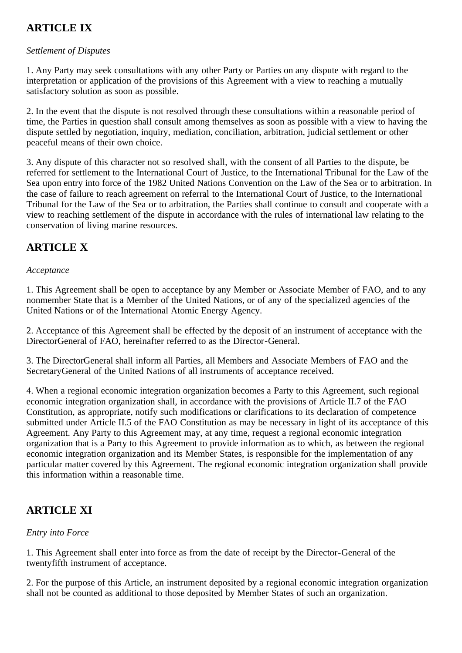# **ARTICLE IX**

### *Settlement of Disputes*

1. Any Party may seek consultations with any other Party or Parties on any dispute with regard to the interpretation or application of the provisions of this Agreement with a view to reaching a mutually satisfactory solution as soon as possible.

2. In the event that the dispute is not resolved through these consultations within a reasonable period of time, the Parties in question shall consult among themselves as soon as possible with a view to having the dispute settled by negotiation, inquiry, mediation, conciliation, arbitration, judicial settlement or other peaceful means of their own choice.

3. Any dispute of this character not so resolved shall, with the consent of all Parties to the dispute, be referred for settlement to the International Court of Justice, to the International Tribunal for the Law of the Sea upon entry into force of the 1982 United Nations Convention on the Law of the Sea or to arbitration. In the case of failure to reach agreement on referral to the International Court of Justice, to the International Tribunal for the Law of the Sea or to arbitration, the Parties shall continue to consult and cooperate with a view to reaching settlement of the dispute in accordance with the rules of international law relating to the conservation of living marine resources.

## **ARTICLE X**

#### *Acceptance*

1. This Agreement shall be open to acceptance by any Member or Associate Member of FAO, and to any nonmember State that is a Member of the United Nations, or of any of the specialized agencies of the United Nations or of the International Atomic Energy Agency.

2. Acceptance of this Agreement shall be effected by the deposit of an instrument of acceptance with the DirectorGeneral of FAO, hereinafter referred to as the Director-General.

3. The DirectorGeneral shall inform all Parties, all Members and Associate Members of FAO and the SecretaryGeneral of the United Nations of all instruments of acceptance received.

4. When a regional economic integration organization becomes a Party to this Agreement, such regional economic integration organization shall, in accordance with the provisions of Article II.7 of the FAO Constitution, as appropriate, notify such modifications or clarifications to its declaration of competence submitted under Article II.5 of the FAO Constitution as may be necessary in light of its acceptance of this Agreement. Any Party to this Agreement may, at any time, request a regional economic integration organization that is a Party to this Agreement to provide information as to which, as between the regional economic integration organization and its Member States, is responsible for the implementation of any particular matter covered by this Agreement. The regional economic integration organization shall provide this information within a reasonable time.

# **ARTICLE XI**

### *Entry into Force*

1. This Agreement shall enter into force as from the date of receipt by the Director-General of the twentyfifth instrument of acceptance.

2. For the purpose of this Article, an instrument deposited by a regional economic integration organization shall not be counted as additional to those deposited by Member States of such an organization.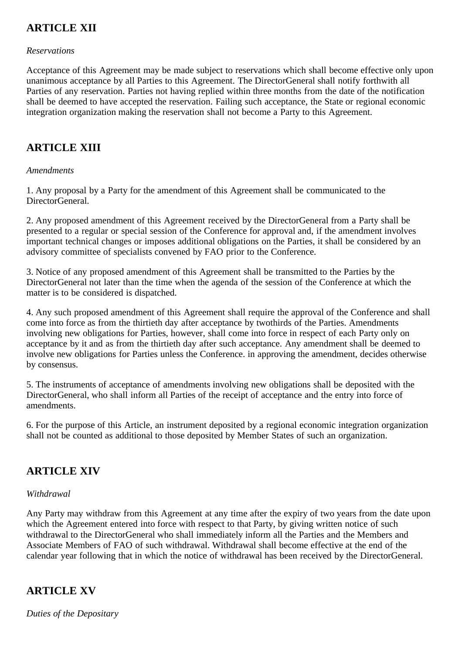# **ARTICLE XII**

### *Reservations*

Acceptance of this Agreement may be made subject to reservations which shall become effective only upon unanimous acceptance by all Parties to this Agreement. The DirectorGeneral shall notify forthwith all Parties of any reservation. Parties not having replied within three months from the date of the notification shall be deemed to have accepted the reservation. Failing such acceptance, the State or regional economic integration organization making the reservation shall not become a Party to this Agreement.

# **ARTICLE XIII**

#### *Amendments*

1. Any proposal by a Party for the amendment of this Agreement shall be communicated to the DirectorGeneral.

2. Any proposed amendment of this Agreement received by the DirectorGeneral from a Party shall be presented to a regular or special session of the Conference for approval and, if the amendment involves important technical changes or imposes additional obligations on the Parties, it shall be considered by an advisory committee of specialists convened by FAO prior to the Conference.

3. Notice of any proposed amendment of this Agreement shall be transmitted to the Parties by the DirectorGeneral not later than the time when the agenda of the session of the Conference at which the matter is to be considered is dispatched.

4. Any such proposed amendment of this Agreement shall require the approval of the Conference and shall come into force as from the thirtieth day after acceptance by twothirds of the Parties. Amendments involving new obligations for Parties, however, shall come into force in respect of each Party only on acceptance by it and as from the thirtieth day after such acceptance. Any amendment shall be deemed to involve new obligations for Parties unless the Conference. in approving the amendment, decides otherwise by consensus.

5. The instruments of acceptance of amendments involving new obligations shall be deposited with the DirectorGeneral, who shall inform all Parties of the receipt of acceptance and the entry into force of amendments.

6. For the purpose of this Article, an instrument deposited by a regional economic integration organization shall not be counted as additional to those deposited by Member States of such an organization.

## **ARTICLE XIV**

### *Withdrawal*

Any Party may withdraw from this Agreement at any time after the expiry of two years from the date upon which the Agreement entered into force with respect to that Party, by giving written notice of such withdrawal to the DirectorGeneral who shall immediately inform all the Parties and the Members and Associate Members of FAO of such withdrawal. Withdrawal shall become effective at the end of the calendar year following that in which the notice of withdrawal has been received by the DirectorGeneral.

## **ARTICLE XV**

*Duties of the Depositary*